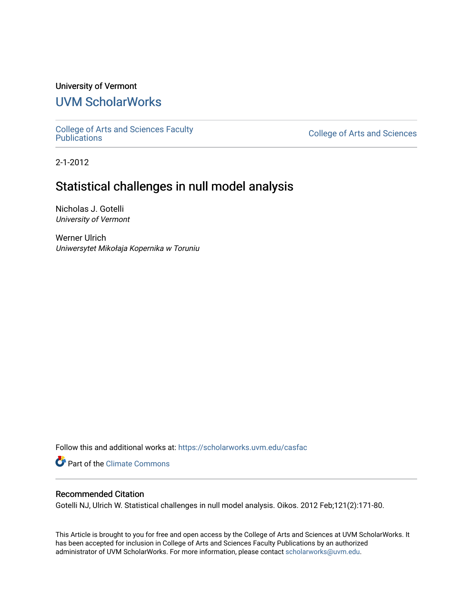## University of Vermont

## [UVM ScholarWorks](https://scholarworks.uvm.edu/)

[College of Arts and Sciences Faculty](https://scholarworks.uvm.edu/casfac)

**College of Arts and Sciences** 

2-1-2012

## Statistical challenges in null model analysis

Nicholas J. Gotelli University of Vermont

Werner Ulrich Uniwersytet Mikołaja Kopernika w Toruniu

Follow this and additional works at: [https://scholarworks.uvm.edu/casfac](https://scholarworks.uvm.edu/casfac?utm_source=scholarworks.uvm.edu%2Fcasfac%2F78&utm_medium=PDF&utm_campaign=PDFCoverPages) 

**P** Part of the Climate Commons

### Recommended Citation

Gotelli NJ, Ulrich W. Statistical challenges in null model analysis. Oikos. 2012 Feb;121(2):171-80.

This Article is brought to you for free and open access by the College of Arts and Sciences at UVM ScholarWorks. It has been accepted for inclusion in College of Arts and Sciences Faculty Publications by an authorized administrator of UVM ScholarWorks. For more information, please contact [scholarworks@uvm.edu](mailto:scholarworks@uvm.edu).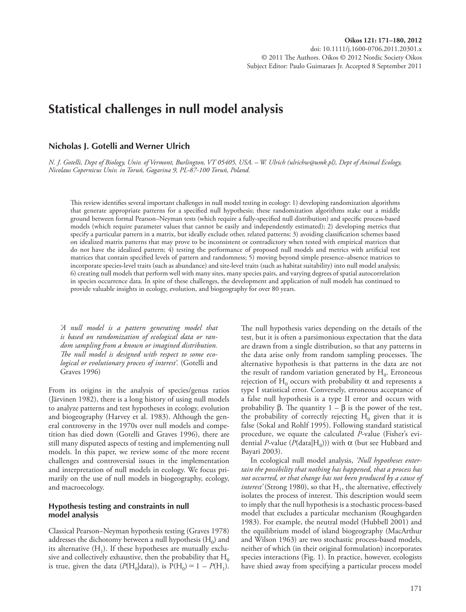# **Statistical challenges in null model analysis**

### **Nicholas J. Gotelli and Werner Ulrich**

 *N. J. Gotelli, Dept of Biology, Univ. of Vermont, Burlington, VT 05405, USA. – W. Ulrich (ulrichw@umk.pl), Dept of Animal Ecology, Nicolaus Copernicus Univ. in Toru ń , Gagarina 9, PL-87-100 Toru ń , Poland.* 

This review identifies several important challenges in null model testing in ecology: 1) developing randomization algorithms that generate appropriate patterns for a specified null hypothesis; these randomization algorithms stake out a middle ground between formal Pearson-Neyman tests (which require a fully-specified null distribution) and specific process-based models (which require parameter values that cannot be easily and independently estimated); 2) developing metrics that specify a particular pattern in a matrix, but ideally exclude other, related patterns; 3) avoiding classification schemes based on idealized matrix patterns that may prove to be inconsistent or contradictory when tested with empirical matrices that do not have the idealized pattern; 4) testing the performance of proposed null models and metrics with artificial test matrices that contain specified levels of pattern and randomness; 5) moving beyond simple presence–absence matrices to incorporate species-level traits (such as abundance) and site-level traits (such as habitat suitability) into null model analysis; 6) creating null models that perform well with many sites, many species pairs, and varying degrees of spatial autocorrelation in species occurrence data. In spite of these challenges, the development and application of null models has continued to provide valuable insights in ecology, evolution, and biogeography for over 80 years.

 *' A null model is a pattern generating model that is based on randomization of ecological data or random sampling from a known or imagined distribution.*  The null model is designed with respect to some ecological or evolutionary process of interest'. (Gotelli and Graves 1996)

 From its origins in the analysis of species/genus ratios (Järvinen 1982), there is a long history of using null models to analyze patterns and test hypotheses in ecology, evolution and biogeography (Harvey et al. 1983). Although the general controversy in the 1970s over null models and competition has died down (Gotelli and Graves 1996), there are still many disputed aspects of testing and implementing null models. In this paper, we review some of the more recent challenges and controversial issues in the implementation and interpretation of null models in ecology. We focus primarily on the use of null models in biogeography, ecology, and macroecology.

#### **Hypothesis testing and constraints in null model analysis**

 Classical Pearson – Neyman hypothesis testing (Graves 1978) addresses the dichotomy between a null hypothesis  $(H_0)$  and its alternative  $(H_1)$ . If these hypotheses are mutually exclusive and collectively exhaustive, then the probability that  $H_0$ is true, given the data  $(P(H_0|data))$ , is  $P(H_0) = 1 - P(H_1)$ . The null hypothesis varies depending on the details of the test, but it is often a parsimonious expectation that the data are drawn from a single distribution, so that any patterns in the data arise only from random sampling processes. The alternative hypothesis is that patterns in the data are not the result of random variation generated by  $H_0$ . Erroneous rejection of H<sub>0</sub> occurs with probability  $\alpha$  and represents a type I statistical error. Conversely, erroneous acceptance of a false null hypothesis is a type II error and occurs with probability β. The quantity  $1 - \beta$  is the power of the test, the probability of correctly rejecting  $H_0$  given that it is false (Sokal and Rohlf 1995). Following standard statistical procedure, we equate the calculated *P*-value (Fisher's evidential *P*-value ( $P(\text{data}|H_0)$ )) with  $\alpha$  (but see Hubbard and Bayari 2003).

 In ecological null model analysis, *' Null hypotheses entertain the possibility that nothing has happened, that a process has not occurred, or that change has not been produced by a cause of interest'* (Strong 1980), so that  $H_1$ , the alternative, effectively isolates the process of interest. This description would seem to imply that the null hypothesis is a stochastic process-based model that excludes a particular mechanism (Roughgarden 1983). For example, the neutral model (Hubbell 2001) and the equilibrium model of island biogeography (MacArthur and Wilson 1963) are two stochastic process-based models, neither of which (in their original formulation) incorporates species interactions (Fig. 1). In practice, however, ecologists have shied away from specifying a particular process model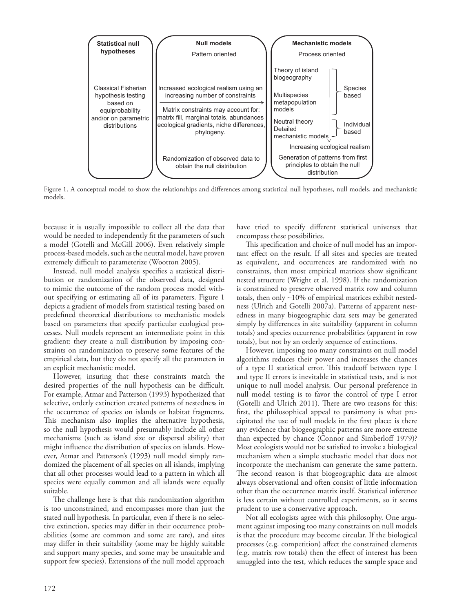

Figure 1. A conceptual model to show the relationships and differences among statistical null hypotheses, null models, and mechanistic models.

because it is usually impossible to collect all the data that would be needed to independently fit the parameters of such a model (Gotelli and McGill 2006). Even relatively simple process-based models, such as the neutral model, have proven extremely difficult to parameterize (Wootton 2005).

Instead, null model analysis specifies a statistical distribution or randomization of the observed data, designed to mimic the outcome of the random process model without specifying or estimating all of its parameters. Figure 1 depicts a gradient of models from statistical testing based on predefined theoretical distributions to mechanistic models based on parameters that specify particular ecological processes. Null models represent an intermediate point in this gradient: they create a null distribution by imposing constraints on randomization to preserve some features of the empirical data, but they do not specify all the parameters in an explicit mechanistic model.

 However, insuring that these constraints match the desired properties of the null hypothesis can be difficult. For example, Atmar and Patterson (1993) hypothesized that selective, orderly extinction created patterns of nestedness in the occurrence of species on islands or habitat fragments. This mechanism also implies the alternative hypothesis, so the null hypothesis would presumably include all other mechanisms (such as island size or dispersal ability) that might influence the distribution of species on islands. However, Atmar and Patterson's (1993) null model simply randomized the placement of all species on all islands, implying that all other processes would lead to a pattern in which all species were equally common and all islands were equally suitable.

The challenge here is that this randomization algorithm is too unconstrained, and encompasses more than just the stated null hypothesis. In particular, even if there is no selective extinction, species may differ in their occurrence probabilities (some are common and some are rare), and sites may differ in their suitability (some may be highly suitable and support many species, and some may be unsuitable and support few species). Extensions of the null model approach have tried to specify different statistical universes that encompass these possibilities.

This specification and choice of null model has an important effect on the result. If all sites and species are treated as equivalent, and occurrences are randomized with no constraints, then most empirical matrices show significant nested structure (Wright et al. 1998). If the randomization is constrained to preserve observed matrix row and column totals, then only ∼ 10% of empirical matrices exhibit nestedness (Ulrich and Gotelli 2007a). Patterns of apparent nestedness in many biogeographic data sets may be generated simply by differences in site suitability (apparent in column totals) and species occurrence probabilities (apparent in row totals), but not by an orderly sequence of extinctions.

 However, imposing too many constraints on null model algorithms reduces their power and increases the chances of a type II statistical error. This tradeoff between type I and type II errors is inevitable in statistical tests, and is not unique to null model analysis. Our personal preference in null model testing is to favor the control of type I error (Gotelli and Ulrich 2011). There are two reasons for this: first, the philosophical appeal to parsimony is what precipitated the use of null models in the first place: is there any evidence that biogeographic patterns are more extreme than expected by chance (Connor and Simberloff 1979)? Most ecologists would not be satisfied to invoke a biological mechanism when a simple stochastic model that does not incorporate the mechanism can generate the same pattern. The second reason is that biogeographic data are almost always observational and often consist of little information other than the occurrence matrix itself. Statistical inference is less certain without controlled experiments, so it seems prudent to use a conservative approach.

 Not all ecologists agree with this philosophy. One argument against imposing too many constraints on null models is that the procedure may become circular. If the biological processes (e.g. competition) affect the constrained elements (e.g. matrix row totals) then the effect of interest has been smuggled into the test, which reduces the sample space and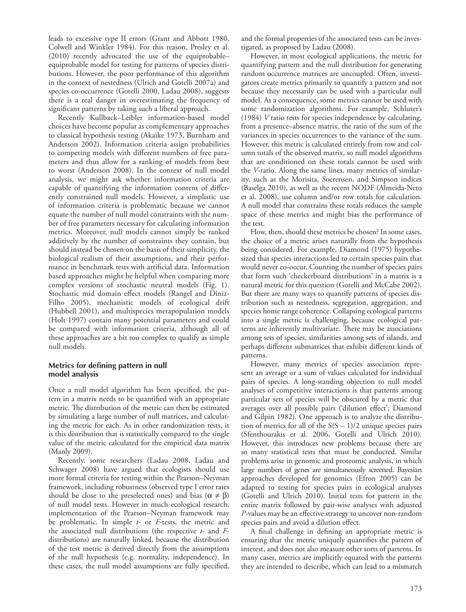leads to excessive type II errors (Grant and Abbott 1980, Colwell and Winkler 1984). For this reason, Presley et al. (2010) recently advocated the use of the equiprobable equiprobable model for testing for patterns of species distributions. However, the poor performance of this algorithm in the context of nestedness (Ulrich and Gotelli 2007a) and species co-occurrence (Gotelli 2000, Ladau 2008), suggests there is a real danger in overestimating the frequency of significant patterns by taking such a liberal approach.

Recently Kullback-Leibler information-based model choices have become popular as complementary approaches to classical hypothesis testing (Akaike 1973, Burnham and Anderson 2002). Information criteria assign probabilities to competing models with different numbers of free parameters and thus allow for a ranking of models from best to worst (Anderson 2008). In the context of null model analysis, we might ask whether information criteria are capable of quantifying the information content of differently constrained null models. However, a simplistic use of information criteria is problematic because we cannot equate the number of null model constraints with the number of free parameters necessary for calculating information metrics. Moreover, null models cannot simply be ranked additively by the number of constraints they contain, but should instead be chosen on the basis of their simplicity, the biological realism of their assumptions, and their performance in benchmark tests with artificial data. Information based approaches might be helpful when comparing more complex versions of stochastic neutral models (Fig. 1). Stochastic mid domain effect models (Rangel and Diniz-Filho 2005), mechanistic models of ecological drift (Hubbell 2001), and multispecies metapopulation models (Holt 1997) contain many potential parameters and could be compared with information criteria, although all of these approaches are a bit too complex to qualify as simple null models.

#### **Metrics for defining pattern in null model analysis**

Once a null model algorithm has been specified, the pattern in a matrix needs to be quantified with an appropriate metric. The distribution of the metric can then be estimated by simulating a large number of null matrices, and calculating the metric for each. As in other randomization tests, it is this distribution that is statistically compared to the single value of the metric calculated for the empirical data matrix (Manly 2009).

 Recently, some researchers (Ladau 2008, Ladau and Schwager 2008) have argued that ecologists should use more formal criteria for testing within the Pearson – Neyman framework, including robustness (observed type I error rates should be close to the preselected ones) and bias  $(\alpha \neq \beta)$ of null model tests. However in much ecological research, implementation of the Pearson-Neyman framework may be problematic. In simple *t*- or *F*-tests, the metric and the associated null distributions (the respective *t*- and *F*distributions) are naturally linked, because the distribution of the test metric is derived directly from the assumptions of the null hypothesis (e.g. normality, independence). In these cases, the null model assumptions are fully specified, and the formal properties of the associated tests can be investigated, as proposed by Ladau (2008).

 However, in most ecological applications, the metric for quantifying pattern and the null distribution for generating random occurrence matrices are uncoupled. Often, investigators create metrics primarily to quantify a pattern and not because they necessarily can be used with a particular null model. As a consequence, some metrics cannot be used with some randomization algorithms. For example, Schluter's (1984) *V* ratio tests for species independence by calculating, from a presence–absence matrix, the ratio of the sum of the variances in species occurrences to the variance of the sum. However, this metric is calculated entirely from row and column totals of the observed matrix, so null model algorithms that are conditioned on these totals cannot be used with the *V*-ratio. Along the same lines, many metrics of similarity, such as the Morisita, Soerensen, and Simpson indices (Baselga 2010), as well as the recent NODF (Almeida-Neto et al. 2008), use column and/or row totals for calculation. A null model that constrains these totals reduces the sample space of these metrics and might bias the performance of the test.

 How, then, should these metrics be chosen? In some cases, the choice of a metric arises naturally from the hypothesis being considered. For example, Diamond (1975) hypothesized that species interactions led to certain species pairs that would never co-occur. Counting the number of species pairs that form such 'checkerboard distributions' in a matrix is a natural metric for this question (Gotelli and McCabe 2002). But there are many ways to quantify patterns of species distribution such as nestedness, segregation, aggregation, and species home range coherence. Collapsing ecological patterns into a single metric is challenging, because ecological patterns are inherently multivariate. There may be associations among sets of species, similarities among sets of islands, and perhaps different submatrices that exhibit different kinds of patterns.

 However, many metrics of species association represent an average or a sum of values calculated for individual pairs of species. A long-standing objection to null model analyses of competitive interactions is that patterns among particular sets of species will be obscured by a metric that averages over all possible pairs ('dilution effect'; Diamond and Gilpin 1982). One approach is to analyze the distribution of metrics for all of the  $S(S - 1)/2$  unique species pairs (Sfenthourakis et al. 2006, Gotelli and Ulrich 2010). However, this introduces new problems because there are so many statistical tests that must be conducted. Similar problems arise in genomic and proteomic analysis, in which large numbers of genes are simultaneously screened. Bayesian approaches developed for genomics (Efron 2005) can be adapted to testing for species pairs in ecological analyses (Gotelli and Ulrich 2010). Initial tests for pattern in the entire matrix followed by pair-wise analyses with adjusted *P*-values may be an effective strategy to uncover non-random species pairs and avoid a dilution effect.

A final challenge in defining an appropriate metric is ensuring that the metric uniquely quantifies the pattern of interest, and does not also measure other sorts of patterns. In many cases, metrics are implicitly equated with the patterns they are intended to describe, which can lead to a mismatch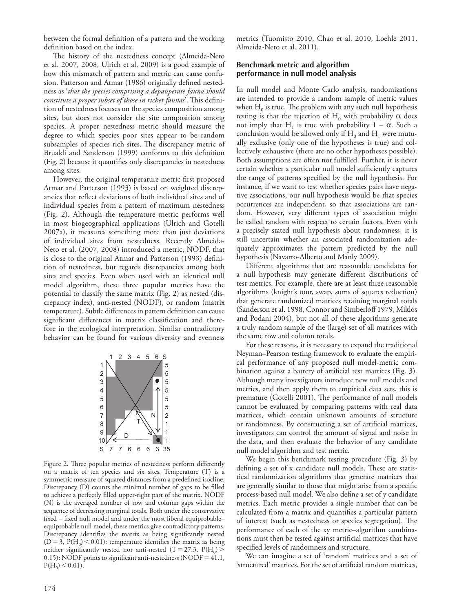between the formal definition of a pattern and the working definition based on the index.

The history of the nestedness concept (Almeida-Neto et al. 2007, 2008, Ulrich et al. 2009) is a good example of how this mismatch of pattern and metric can cause confusion. Patterson and Atmar (1986) originally defined nestedness as ' *that the species comprising a depauperate fauna should constitute a proper subset of those in richer faunas*'. This definition of nestedness focuses on the species composition among sites, but does not consider the site composition among species. A proper nestedness metric should measure the degree to which species poor sites appear to be random subsamples of species rich sites. The discrepancy metric of Brualdi and Sanderson (1999) conforms to this definition (Fig. 2) because it quantifies only discrepancies in nestedness among sites.

However, the original temperature metric first proposed Atmar and Patterson (1993) is based on weighted discrepancies that reflect deviations of both individual sites and of individual species from a pattern of maximum nestedness (Fig. 2). Although the temperature metric performs well in most biogeographical applications (Ulrich and Gotelli 2007a), it measures something more than just deviations of individual sites from nestedness. Recently Almeida-Neto et al. (2007, 2008) introduced a metric, NODF, that is close to the original Atmar and Patterson (1993) definition of nestedness, but regards discrepancies among both sites and species. Even when used with an identical null model algorithm, these three popular metrics have the potential to classify the same matrix (Fig. 2) as nested (discrepancy index), anti-nested (NODF), or random (matrix temperature). Subtle differences in pattern definition can cause significant differences in matrix classification and therefore in the ecological interpretation. Similar contradictory behavior can be found for various diversity and evenness



Figure 2. Three popular metrics of nestedness perform differently on a matrix of ten species and six sites. Temperature (T) is a symmetric measure of squared distances from a predefined isocline. Discrepancy  $(D)$  counts the minimal number of gaps to be filled to achieve a perfectly filled upper-right part of the matrix. NODF (N) is the averaged number of row and column gaps within the sequence of decreasing marginal totals. Both under the conservative fixed – fixed null model and under the most liberal equiprobable equiprobable null model, these metrics give contradictory patterns. Discrepancy identifies the matrix as being significantly nested  $(D = 3, P(H_0) < 0.01)$ ; temperature identifies the matrix as being neither significantly nested nor anti-nested (T = 27.3,  $P(H_0)$  >  $(0.15)$ ; NODF points to significant anti-nestedness (NODF =  $41.1$ ,  $P(H_0)$  < 0.01).

metrics (Tuomisto 2010, Chao et al. 2010, Loehle 2011, Almeida-Neto et al. 2011).

#### **Benchmark metric and algorithm performance in null model analysis**

 In null model and Monte Carlo analysis, randomizations are intended to provide a random sample of metric values when  $H_0$  is true. The problem with any such null hypothesis testing is that the rejection of  $H_0$  with probability  $\alpha$  does not imply that H<sub>1</sub> is true with probability  $1 - \alpha$ . Such a conclusion would be allowed only if  $H_0$  and  $H_1$  were mutually exclusive (only one of the hypotheses is true) and collectively exhaustive (there are no other hypotheses possible). Both assumptions are often not fulfilled. Further, it is never certain whether a particular null model sufficiently captures the range of patterns specified by the null hypothesis. For instance, if we want to test whether species pairs have negative associations, our null hypothesis would be that species occurrences are independent, so that associations are random. However, very different types of association might be called random with respect to certain factors. Even with a precisely stated null hypothesis about randomness, it is still uncertain whether an associated randomization adequately approximates the pattern predicted by the null hypothesis (Navarro-Alberto and Manly 2009).

Different algorithms that are reasonable candidates for a null hypothesis may generate different distributions of test metrics. For example, there are at least three reasonable algorithms (knight's tour, swap, sums of squares reduction) that generate randomized matrices retaining marginal totals (Sanderson et al. 1998, Connor and Simberloff 1979, Miklós and Podani 2004), but not all of these algorithms generate a truly random sample of the (large) set of all matrices with the same row and column totals.

 For these reasons, it is necessary to expand the traditional Neyman-Pearson testing framework to evaluate the empirical performance of any proposed null model-metric combination against a battery of artificial test matrices (Fig. 3). Although many investigators introduce new null models and metrics, and then apply them to empirical data sets, this is premature (Gotelli 2001). The performance of null models cannot be evaluated by comparing patterns with real data matrices, which contain unknown amounts of structure or randomness. By constructing a set of artificial matrices, investigators can control the amount of signal and noise in the data, and then evaluate the behavior of any candidate null model algorithm and test metric.

 We begin this benchmark testing procedure (Fig. 3) by defining a set of x candidate null models. These are statistical randomization algorithms that generate matrices that are generally similar to those that might arise from a specific process-based null model. We also define a set of y candidate metrics. Each metric provides a single number that can be calculated from a matrix and quantifies a particular pattern of interest (such as nestedness or species segregation). The performance of each of the xy metric-algorithm combinations must then be tested against artificial matrices that have specified levels of randomness and structure.

We can imagine a set of 'random' matrices and a set of 'structured' matrices. For the set of artificial random matrices,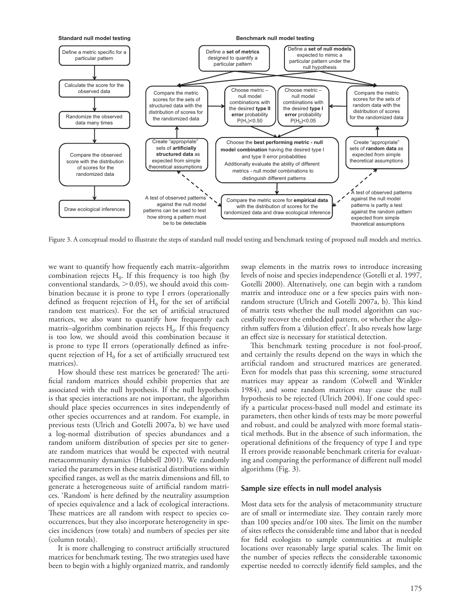

Figure 3. A conceptual model to illustrate the steps of standard null model testing and benchmark testing of proposed null models and metrics.

we want to quantify how frequently each matrix-algorithm combination rejects  $H_0$ . If this frequency is too high (by conventional standards,  $> 0.05$ ), we should avoid this combination because it is prone to type I errors (operationally defined as frequent rejection of  $H_0$  for the set of artificial random test matrices). For the set of artificial structured matrices, we also want to quantify how frequently each matrix–algorithm combination rejects  $H_0$ . If this frequency is too low, we should avoid this combination because it is prone to type II errors (operationally defined as infrequent rejection of  $H_0$  for a set of artificially structured test matrices).

How should these test matrices be generated? The artificial random matrices should exhibit properties that are associated with the null hypothesis. If the null hypothesis is that species interactions are not important, the algorithm should place species occurrences in sites independently of other species occurrences and at random. For example, in previous tests (Ulrich and Gotelli 2007a, b) we have used a log-normal distribution of species abundances and a random uniform distribution of species per site to generate random matrices that would be expected with neutral metacommunity dynamics (Hubbell 2001). We randomly varied the parameters in these statistical distributions within specified ranges, as well as the matrix dimensions and fill, to generate a heterogeneous suite of artificial random matrices. 'Random' is here defined by the neutrality assumption of species equivalence and a lack of ecological interactions. These matrices are all random with respect to species cooccurrences, but they also incorporate heterogeneity in species incidences (row totals) and numbers of species per site (column totals).

It is more challenging to construct artificially structured matrices for benchmark testing. The two strategies used have been to begin with a highly organized matrix, and randomly swap elements in the matrix rows to introduce increasing levels of noise and species independence (Gotelli et al. 1997, Gotelli 2000). Alternatively, one can begin with a random matrix and introduce one or a few species pairs with nonrandom structure (Ulrich and Gotelli 2007a, b). This kind of matrix tests whether the null model algorithm can successfully recover the embedded pattern, or whether the algorithm suffers from a 'dilution effect'. It also reveals how large an effect size is necessary for statistical detection.

This benchmark testing procedure is not fool-proof, and certainly the results depend on the ways in which the artificial random and structured matrices are generated. Even for models that pass this screening, some structured matrices may appear as random (Colwell and Winkler 1984), and some random matrices may cause the null hypothesis to be rejected (Ulrich 2004). If one could specify a particular process-based null model and estimate its parameters, then other kinds of tests may be more powerful and robust, and could be analyzed with more formal statistical methods. But in the absence of such information, the operational definitions of the frequency of type I and type II errors provide reasonable benchmark criteria for evaluating and comparing the performance of different null model algorithms (Fig. 3).

#### **Sample size effects in null model analysis**

 Most data sets for the analysis of metacommunity structure are of small or intermediate size. They contain rarely more than 100 species and/or 100 sites. The limit on the number of sites reflects the considerable time and labor that is needed for field ecologists to sample communities at multiple locations over reasonably large spatial scales. The limit on the number of species reflects the considerable taxonomic expertise needed to correctly identify field samples, and the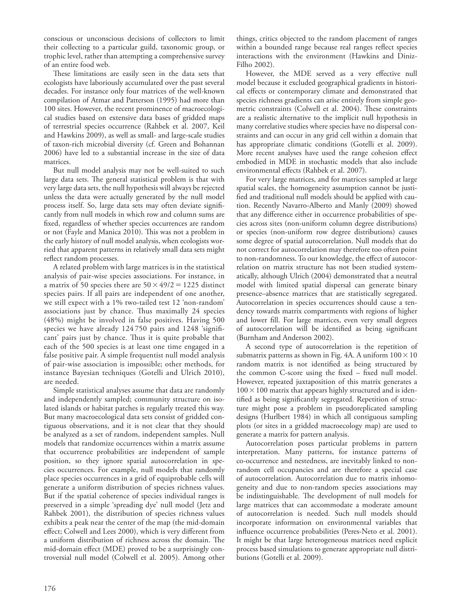conscious or unconscious decisions of collectors to limit their collecting to a particular guild, taxonomic group, or trophic level, rather than attempting a comprehensive survey of an entire food web.

These limitations are easily seen in the data sets that ecologists have laboriously accumulated over the past several decades. For instance only four matrices of the well-known compilation of Atmar and Patterson (1995) had more than 100 sites. However, the recent prominence of macroecological studies based on extensive data bases of gridded maps of terrestrial species occurrence (Rahbek et al. 2007, Keil and Hawkins 2009), as well as small- and large-scale studies of taxon-rich microbial diversity (cf. Green and Bohannan 2006) have led to a substantial increase in the size of data matrices.

 But null model analysis may not be well-suited to such large data sets. The general statistical problem is that with very large data sets, the null hypothesis will always be rejected unless the data were actually generated by the null model process itself. So, large data sets may often deviate significantly from null models in which row and column sums are fixed, regardless of whether species occurrences are random or not (Fayle and Manica 2010). This was not a problem in the early history of null model analysis, when ecologists worried that apparent patterns in relatively small data sets might reflect random processes.

 A related problem with large matrices is in the statistical analysis of pair-wise species associations. For instance, in a matrix of 50 species there are  $50 \times 49/2 = 1225$  distinct species pairs. If all pairs are independent of one another, we still expect with a 1% two-tailed test 12 'non-random' associations just by chance. Thus maximally 24 species (48%) might be involved in false positives. Having 500 species we have already 124750 pairs and 1248 'significant' pairs just by chance. Thus it is quite probable that each of the 500 species is at least one time engaged in a false positive pair. A simple frequentist null model analysis of pair-wise association is impossible; other methods, for instance Bayesian techniques (Gotelli and Ulrich 2010), are needed.

 Simple statistical analyses assume that data are randomly and independently sampled; community structure on isolated islands or habitat patches is regularly treated this way. But many macroecological data sets consist of gridded contiguous observations, and it is not clear that they should be analyzed as a set of random, independent samples. Null models that randomize occurrences within a matrix assume that occurrence probabilities are independent of sample position, so they ignore spatial autocorrelation in species occurrences. For example, null models that randomly place species occurrences in a grid of equiprobable cells will generate a uniform distribution of species richness values. But if the spatial coherence of species individual ranges is preserved in a simple 'spreading dye' null model (Jetz and Rahbek 2001), the distribution of species richness values exhibits a peak near the center of the map (the mid-domain effect; Colwell and Lees 2000), which is very different from a uniform distribution of richness across the domain. The mid-domain effect (MDE) proved to be a surprisingly controversial null model (Colwell et al. 2005). Among other things, critics objected to the random placement of ranges within a bounded range because real ranges reflect species interactions with the environment (Hawkins and Diniz-Filho 2002).

However, the MDE served as a very effective null model because it excluded geographical gradients in historical effects or contemporary climate and demonstrated that species richness gradients can arise entirely from simple geometric constraints (Colwell et al. 2004). These constraints are a realistic alternative to the implicit null hypothesis in many correlative studies where species have no dispersal constraints and can occur in any grid cell within a domain that has appropriate climatic conditions (Gotelli et al. 2009). More recent analyses have used the range cohesion effect embodied in MDE in stochastic models that also include environmental effects (Rahbek et al. 2007).

 For very large matrices, and for matrices sampled at large spatial scales, the homogeneity assumption cannot be justified and traditional null models should be applied with caution. Recently Navarro-Alberto and Manly (2009) showed that any difference either in occurrence probabilities of species across sites (non-uniform column degree distributions) or species (non-uniform row degree distributions) causes some degree of spatial autocorrelation. Null models that do not correct for autocorrelation may therefore too often point to non-randomness. To our knowledge, the effect of autocorrelation on matrix structure has not been studied systematically, although Ulrich (2004) demonstrated that a neutral model with limited spatial dispersal can generate binary presence–absence matrices that are statistically segregated. Autocorrelation in species occurrences should cause a tendency towards matrix compartments with regions of higher and lower fill. For large matrices, even very small degrees of autocorrelation will be identified as being significant (Burnham and Anderson 2002).

 A second type of autocorrelation is the repetition of submatrix patterns as shown in Fig. 4A. A uniform  $100 \times 10$ random matrix is not identified as being structured by the common C-score using the fixed  $-$  fixed null model. However, repeated juxtaposition of this matrix generates a  $100 \times 100$  matrix that appears highly structured and is identified as being significantly segregated. Repetition of structure might pose a problem in pseudoreplicated sampling designs (Hurlbert 1984) in which all contiguous sampling plots (or sites in a gridded macroecology map) are used to generate a matrix for pattern analysis.

 Autocorrelation poses particular problems in pattern interpretation. Many patterns, for instance patterns of co-occurrence and nestedness, are inevitably linked to nonrandom cell occupancies and are therefore a special case of autocorrelation. Autocorrelation due to matrix inhomogeneity and due to non-random species associations may be indistinguishable. The development of null models for large matrices that can accommodate a moderate amount of autocorrelation is needed. Such null models should incorporate information on environmental variables that influence occurrence probabilities (Peres-Neto et al. 2001). It might be that large heterogeneous matrices need explicit process based simulations to generate appropriate null distributions (Gotelli et al. 2009).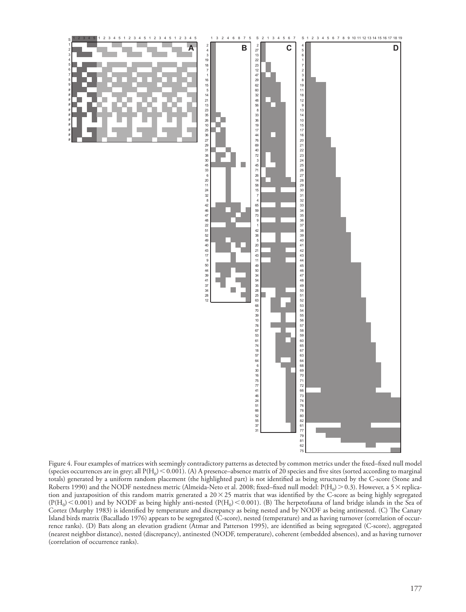

Figure 4. Four examples of matrices with seemingly contradictory patterns as detected by common metrics under the fixed-fixed null model (species occurrences are in grey; all  $P(H_0)$  < 0.001). (A) A presence-absence matrix of 20 species and five sites (sorted according to marginal totals) generated by a uniform random placement (the highlighted part) is not identified as being structured by the C-score (Stone and Roberts 1990) and the NODF nestedness metric (Almeida-Neto et al. 2008; fixed–fixed null model:  $P(H_0) > 0.3$ ). However, a 5  $\times$  replication and juxtaposition of this random matrix generated a  $20 \times 25$  matrix that was identified by the C-score as being highly segregated  $(P(H_0) \le 0.001)$  and by NODF as being highly anti-nested  $(P(H_0) \le 0.001)$ . (B) The herpetofauna of land bridge islands in the Sea of Cortez (Murphy 1983) is identified by temperature and discrepancy as being nested and by NODF as being antinested. (C) The Canary Island birds matrix (Bacallado 1976) appears to be segregated (C-score), nested (temperature) and as having turnover (correlation of occurrence ranks). (D) Bats along an elevation gradient (Atmar and Patterson 1995), are identified as being segregated (C-score), aggregated (nearest neighbor distance), nested (discrepancy), antinested (NODF, temperature), coherent (embedded absences), and as having turnover (correlation of occurrence ranks).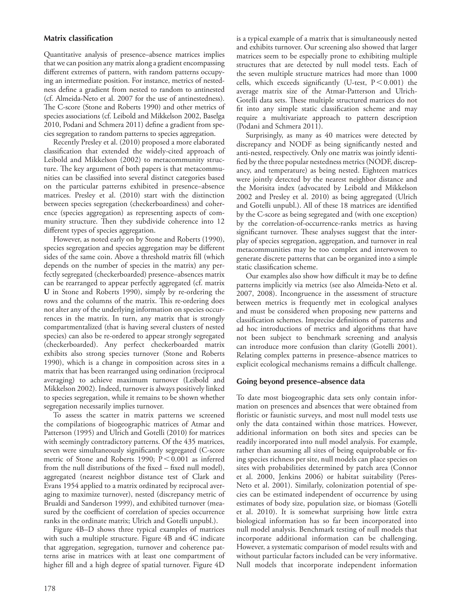#### **Matrix classification**

 Quantitative analysis of presence–absence matrices implies that we can position any matrix along a gradient encompassing different extremes of pattern, with random patterns occupying an intermediate position. For instance, metrics of nestedness define a gradient from nested to random to antinested (cf. Almeida-Neto et al. 2007 for the use of antinestedness). The C-score (Stone and Roberts 1990) and other metrics of species associations (cf. Leibold and Mikkelson 2002, Baselga 2010, Podani and Schmera 2011) define a gradient from species segregation to random patterns to species aggregation.

 Recently Presley et al. (2010) proposed a more elaborated classification that extended the widely-cited approach of Leibold and Mikkelson (2002) to metacommunity structure. The key argument of both papers is that metacommunities can be classified into several distinct categories based on the particular patterns exhibited in presence-absence matrices. Presley et al. (2010) start with the distinction between species segregation (checkerboardiness) and coherence (species aggregation) as representing aspects of community structure. Then they subdivide coherence into 12 different types of species aggregation.

 However, as noted early on by Stone and Roberts (1990), species segregation and species aggregation may be different sides of the same coin. Above a threshold matrix fill (which depends on the number of species in the matrix) any perfectly segregated (checkerboarded) presence – absences matrix can be rearranged to appear perfectly aggregated (cf. matrix **U** in Stone and Roberts 1990), simply by re-ordering the rows and the columns of the matrix. This re-ordering does not alter any of the underlying information on species occurrences in the matrix. In turn, any matrix that is strongly compartmentalized (that is having several clusters of nested species) can also be re-ordered to appear strongly segregated (checkerboarded). Any perfect checkerboarded matrix exhibits also strong species turnover (Stone and Roberts 1990), which is a change in composition across sites in a matrix that has been rearranged using ordination (reciprocal averaging) to achieve maximum turnover (Leibold and Mikkelson 2002). Indeed, turnover is always positively linked to species segregation, while it remains to be shown whether segregation necessarily implies turnover.

 To assess the scatter in matrix patterns we screened the compilations of biogeographic matrices of Atmar and Patterson (1995) and Ulrich and Gotelli (2010) for matrices with seemingly contradictory patterns. Of the 435 matrices, seven were simultaneously significantly segregated (C-score metric of Stone and Roberts 1990;  $P < 0.001$  as inferred from the null distributions of the fixed – fixed null model), aggregated (nearest neighbor distance test of Clark and Evans 1954 applied to a matrix ordinated by reciprocal averaging to maximize turnover), nested (discrepancy metric of Brualdi and Sanderson 1999), and exhibited turnover (measured by the coefficient of correlation of species occurrence ranks in the ordinate matrix; Ulrich and Gotelli unpubl.).

Figure 4B-D shows three typical examples of matrices with such a multiple structure. Figure 4B and 4C indicate that aggregation, segregation, turnover and coherence patterns arise in matrices with at least one compartment of higher fill and a high degree of spatial turnover. Figure 4D

is a typical example of a matrix that is simultaneously nested and exhibits turnover. Our screening also showed that larger matrices seem to be especially prone to exhibiting multiple structures that are detected by null model tests. Each of the seven multiple structure matrices had more than 1000 cells, which exceeds significantly (U-test,  $P < 0.001$ ) the average matrix size of the Atmar-Patterson and Ulrich-Gotelli data sets. These multiple structured matrices do not fit into any simple static classification scheme and may require a multivariate approach to pattern description (Podani and Schmera 2011).

 Surprisingly, as many as 40 matrices were detected by discrepancy and NODF as being significantly nested and anti-nested, respectively. Only one matrix was jointly identified by the three popular nestedness metrics (NODF, discrepancy, and temperature) as being nested. Eighteen matrices were jointly detected by the nearest neighbor distance and the Morisita index (advocated by Leibold and Mikkelson 2002 and Presley et al. 2010) as being aggregated (Ulrich and Gotelli unpubl.). All of these 18 matrices are identified by the C-score as being segregated and (with one exception) by the correlation-of-occurrence-ranks metrics as having significant turnover. These analyses suggest that the interplay of species segregation, aggregation, and turnover in real metacommunities may be too complex and interwoven to generate discrete patterns that can be organized into a simple static classification scheme.

Our examples also show how difficult it may be to define patterns implicitly via metrics (see also Almeida-Neto et al. 2007, 2008). Incongruence in the assessment of structure between metrics is frequently met in ecological analyses and must be considered when proposing new patterns and classification schemes. Imprecise definitions of patterns and ad hoc introductions of metrics and algorithms that have not been subject to benchmark screening and analysis can introduce more confusion than clarity (Gotelli 2001). Relating complex patterns in presence–absence matrices to explicit ecological mechanisms remains a difficult challenge.

#### **Going beyond presence – absence data**

 To date most biogeographic data sets only contain information on presences and absences that were obtained from floristic or faunistic surveys, and most null model tests use only the data contained within those matrices. However, additional information on both sites and species can be readily incorporated into null model analysis. For example, rather than assuming all sites of being equiprobable or fixing species richness per site, null models can place species on sites with probabilities determined by patch area (Connor et al. 2000, Jenkins 2006) or habitat suitability (Peres-Neto et al. 2001). Similarly, colonization potential of species can be estimated independent of occurrence by using estimates of body size, population size, or biomass (Gotelli et al. 2010). It is somewhat surprising how little extra biological information has so far been incorporated into null model analysis. Benchmark testing of null models that incorporate additional information can be challenging. However, a systematic comparison of model results with and without particular factors included can be very informative. Null models that incorporate independent information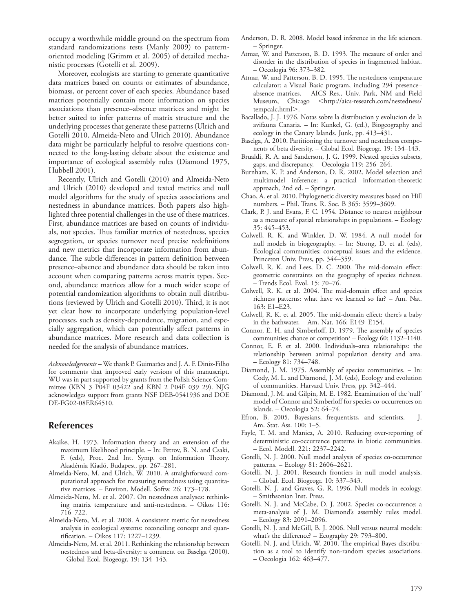occupy a worthwhile middle ground on the spectrum from standard randomizations tests (Manly 2009) to patternoriented modeling (Grimm et al. 2005) of detailed mechanistic processes (Gotelli et al. 2009).

 Moreover, ecologists are starting to generate quantitative data matrices based on counts or estimates of abundance, biomass, or percent cover of each species. Abundance based matrices potentially contain more information on species associations than presence-absence matrices and might be better suited to infer patterns of matrix structure and the underlying processes that generate these patterns (Ulrich and Gotelli 2010, Almeida-Neto and Ulrich 2010). Abundance data might be particularly helpful to resolve questions connected to the long-lasting debate about the existence and importance of ecological assembly rules (Diamond 1975, Hubbell 2001).

 Recently, Ulrich and Gotelli (2010) and Almeida-Neto and Ulrich (2010) developed and tested metrics and null model algorithms for the study of species associations and nestedness in abundance matrices. Both papers also highlighted three potential challenges in the use of these matrices. First, abundance matrices are based on counts of individuals, not species. Thus familiar metrics of nestedness, species segregation, or species turnover need precise redefinitions and new metrics that incorporate information from abundance. The subtle differences in pattern definition between presence – absence and abundance data should be taken into account when comparing patterns across matrix types. Second, abundance matrices allow for a much wider scope of potential randomization algorithms to obtain null distributions (reviewed by Ulrich and Gotelli 2010). Third, it is not yet clear how to incorporate underlying population-level processes, such as density-dependence, migration, and especially aggregation, which can potentially affect patterns in abundance matrices. More research and data collection is needed for the analysis of abundance matrices.

Acknowledgements - We thank P. Guimarães and J. A. F. Diniz-Filho for comments that improved early versions of this manuscript. WU was in part supported by grants from the Polish Science Committee (KBN 3 P04F 03422 and KBN 2 P04F 039 29). NJG acknowledges support from grants NSF DEB-0541936 and DOE DE-FG02-08ER64510.

### **References**

- Akaike, H. 1973. Information theory and an extension of the maximum likelihood principle. – In: Petrov, B. N. and Csaki, F. (eds), Proc. 2nd Int. Symp. on Information Theory. Akadémia Kiadó, Budapest, pp. 267-281.
- Almeida-Neto, M. and Ulrich, W. 2010. A straightforward computational approach for measuring nestedness using quantitative matrices. - Environ. Modell. Softw. 26: 173-178.
- Almeida-Neto, M. et al. 2007. On nestedness analyses: rethinking matrix temperature and anti-nestedness. – Oikos 116: 716 – 722.
- Almeida-Neto, M. et al. 2008. A consistent metric for nestedness analysis in ecological systems: reconciling concept and quantification. – Oikos 117: 1227–1239.
- Almeida-Neto, M. et al. 2011. Rethinking the relationship between nestedness and beta-diversity: a comment on Baselga (2010). – Global Ecol. Biogeogr. 19: 134 – 143.
- Anderson, D. R. 2008. Model based inference in the life sciences. – Springer.
- Atmar, W. and Patterson, B. D. 1993. The measure of order and disorder in the distribution of species in fragmented habitat. – Oecologia 96: 373 – 382.
- Atmar, W. and Patterson, B. D. 1995. The nestedness temperature calculator: a Visual Basic program, including 294 presence – absence matrices. – AICS Res., Univ. Park, NM and Field Museum, Chicago <http://aics-research.com/nestedness/ tempcalc.html>.
- Bacallado, J. J. 1976. Notas sobre la distribucion y evolucion de la avifauna Canaria. – In: Kunkel, G. (ed.), Biogeography and ecology in the Canary Islands. Junk, pp. 413-431.
- Baselga, A. 2010. Partitioning the turnover and nestedness components of beta diversity. – Global Ecol. Biogeogr. 19: 134–143.
- Brualdi, R. A. and Sanderson, J. G. 1999. Nested species subsets, gaps, and discrepancy. - Oecologia 119: 256-264.
- Burnham, K. P. and Anderson, D. R. 2002. Model selection and multimodel inference: a practical information-theoretic approach, 2nd ed. – Springer.
- Chao, A. et al. 2010. Phylogenetic diversity measures based on Hill numbers. – Phil. Trans. R. Soc. B 365: 3599 – 3609.
- Clark, P. J. and Evans, F. C. 1954. Distance to nearest neighbour as a measure of spatial relationships in populations. – Ecology 35: 445 – 453.
- Colwell, R. K. and Winkler, D. W. 1984. A null model for null models in biogeography. – In: Strong, D. et al. (eds), Ecological communities: conceptual issues and the evidence. Princeton Univ. Press, pp. 344-359.
- Colwell, R. K. and Lees, D. C. 2000. The mid-domain effect: geometric constraints on the geography of species richness. - Trends Ecol. Evol. 15: 70-76.
- Colwell, R. K. et al. 2004. The mid-domain effect and species richness patterns: what have we learned so far? – Am. Nat. 163: E1-E23.
- Colwell, R. K. et al. 2005. The mid-domain effect: there's a baby in the bathwater.  $-$  Am. Nat. 166: E149-E154.
- Connor, E. H. and Simberloff, D. 1979. The assembly of species communities: chance or competition? – Ecology 60: 1132–1140.
- Connor, E. F. et al. 2000. Individuals-area relationships: the relationship between animal population density and area. – Ecology 81: 734 – 748.
- Diamond, J. M. 1975. Assembly of species communities. In: Cody, M. L. and Diamond, J. M. (eds), Ecology and evolution of communities. Harvard Univ. Press, pp. 342-444.
- Diamond, J. M. and Gilpin, M. E. 1982. Examination of the 'null' model of Connor and Simberloff for species co-occurrences on islands. – Oecologia 52:  $64-74$ .
- Efron, B. 2005. Bayesians, frequentists, and scientists. J. Am. Stat. Ass. 100: 1-5.
- Fayle, T. M. and Manica, A. 2010. Reducing over-reporting of deterministic co-occurrence patterns in biotic communities. – Ecol. Modell. 221: 2237 – 2242.
- Gotelli, N. J. 2000. Null model analysis of species co-occurrence patterns. - Ecology 81: 2606-2621.
- Gotelli, N. J. 2001. Research frontiers in null model analysis. – Global. Ecol. Biogeogr. 10: 337 – 343.
- Gotelli, N. J. and Graves, G. R. 1996. Null models in ecology. – Smithsonian Inst. Press.
- Gotelli, N. J. and McCabe, D. J. 2002. Species co-occurrence: a meta-analysis of J. M. Diamond's assembly rules model.  $-$  Ecology 83: 2091–2096.
- Gotelli, N. J. and McGill, B. J. 2006. Null versus neutral models: what's the difference?  $-$  Ecography 29: 793–800.
- Gotelli, N. J. and Ulrich, W. 2010. The empirical Bayes distribution as a tool to identify non-random species associations. – Oecologia 162: 463 – 477.